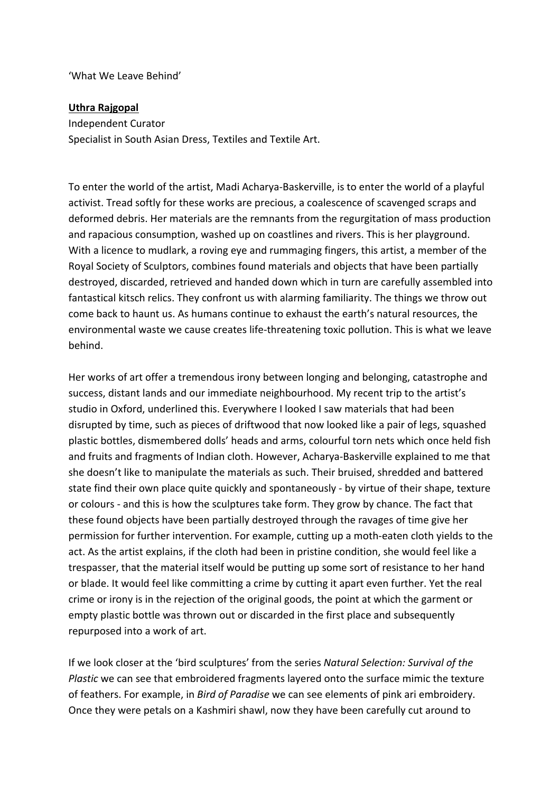'What We Leave Behind'

## **Uthra Rajgopal**

Independent Curator Specialist in South Asian Dress, Textiles and Textile Art.

To enter the world of the artist, Madi Acharya-Baskerville, is to enter the world of a playful activist. Tread softly for these works are precious, a coalescence of scavenged scraps and deformed debris. Her materials are the remnants from the regurgitation of mass production and rapacious consumption, washed up on coastlines and rivers. This is her playground. With a licence to mudlark, a roving eye and rummaging fingers, this artist, a member of the Royal Society of Sculptors, combines found materials and objects that have been partially destroyed, discarded, retrieved and handed down which in turn are carefully assembled into fantastical kitsch relics. They confront us with alarming familiarity. The things we throw out come back to haunt us. As humans continue to exhaust the earth's natural resources, the environmental waste we cause creates life-threatening toxic pollution. This is what we leave behind.

Her works of art offer a tremendous irony between longing and belonging, catastrophe and success, distant lands and our immediate neighbourhood. My recent trip to the artist's studio in Oxford, underlined this. Everywhere I looked I saw materials that had been disrupted by time, such as pieces of driftwood that now looked like a pair of legs, squashed plastic bottles, dismembered dolls' heads and arms, colourful torn nets which once held fish and fruits and fragments of Indian cloth. However, Acharya-Baskerville explained to me that she doesn't like to manipulate the materials as such. Their bruised, shredded and battered state find their own place quite quickly and spontaneously - by virtue of their shape, texture or colours - and this is how the sculptures take form. They grow by chance. The fact that these found objects have been partially destroyed through the ravages of time give her permission for further intervention. For example, cutting up a moth-eaten cloth yields to the act. As the artist explains, if the cloth had been in pristine condition, she would feel like a trespasser, that the material itself would be putting up some sort of resistance to her hand or blade. It would feel like committing a crime by cutting it apart even further. Yet the real crime or irony is in the rejection of the original goods, the point at which the garment or empty plastic bottle was thrown out or discarded in the first place and subsequently repurposed into a work of art.

If we look closer at the 'bird sculptures' from the series *Natural Selection: Survival of the Plastic* we can see that embroidered fragments layered onto the surface mimic the texture of feathers. For example, in *Bird of Paradise* we can see elements of pink ari embroidery. Once they were petals on a Kashmiri shawl, now they have been carefully cut around to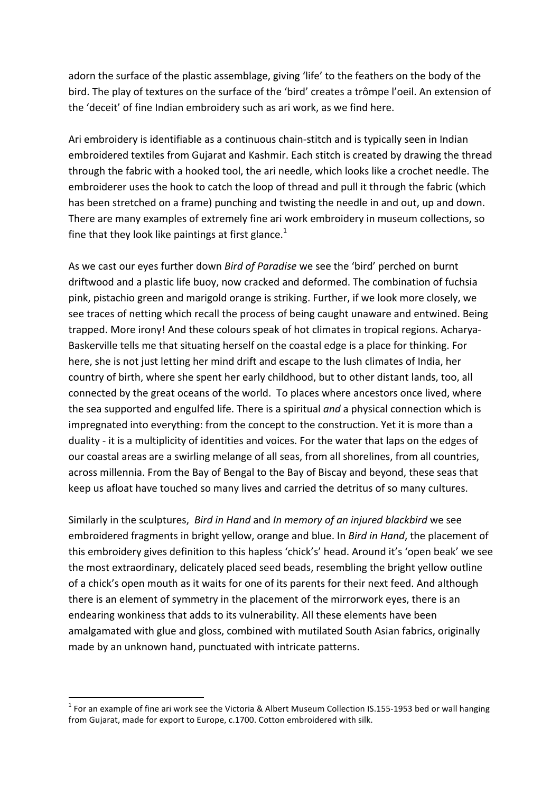adorn the surface of the plastic assemblage, giving 'life' to the feathers on the body of the bird. The play of textures on the surface of the 'bird' creates a trômpe l'oeil. An extension of the 'deceit' of fine Indian embroidery such as ari work, as we find here.

Ari embroidery is identifiable as a continuous chain-stitch and is typically seen in Indian embroidered textiles from Gujarat and Kashmir. Each stitch is created by drawing the thread through the fabric with a hooked tool, the ari needle, which looks like a crochet needle. The embroiderer uses the hook to catch the loop of thread and pull it through the fabric (which has been stretched on a frame) punching and twisting the needle in and out, up and down. There are many examples of extremely fine ari work embroidery in museum collections, so fine that they look like paintings at first glance.<sup>1</sup>

As we cast our eyes further down *Bird of Paradise* we see the 'bird' perched on burnt driftwood and a plastic life buoy, now cracked and deformed. The combination of fuchsia pink, pistachio green and marigold orange is striking. Further, if we look more closely, we see traces of netting which recall the process of being caught unaware and entwined. Being trapped. More irony! And these colours speak of hot climates in tropical regions. Acharya-Baskerville tells me that situating herself on the coastal edge is a place for thinking. For here, she is not just letting her mind drift and escape to the lush climates of India, her country of birth, where she spent her early childhood, but to other distant lands, too, all connected by the great oceans of the world. To places where ancestors once lived, where the sea supported and engulfed life. There is a spiritual *and* a physical connection which is impregnated into everything: from the concept to the construction. Yet it is more than a duality - it is a multiplicity of identities and voices. For the water that laps on the edges of our coastal areas are a swirling melange of all seas, from all shorelines, from all countries, across millennia. From the Bay of Bengal to the Bay of Biscay and beyond, these seas that keep us afloat have touched so many lives and carried the detritus of so many cultures.

Similarly in the sculptures, *Bird in Hand* and *In memory of an injured blackbird* we see embroidered fragments in bright yellow, orange and blue. In *Bird in Hand*, the placement of this embroidery gives definition to this hapless 'chick's' head. Around it's 'open beak' we see the most extraordinary, delicately placed seed beads, resembling the bright yellow outline of a chick's open mouth as it waits for one of its parents for their next feed. And although there is an element of symmetry in the placement of the mirrorwork eyes, there is an endearing wonkiness that adds to its vulnerability. All these elements have been amalgamated with glue and gloss, combined with mutilated South Asian fabrics, originally made by an unknown hand, punctuated with intricate patterns.

 $1$  For an example of fine ari work see the Victoria & Albert Museum Collection IS.155-1953 bed or wall hanging from Gujarat, made for export to Europe, c.1700. Cotton embroidered with silk.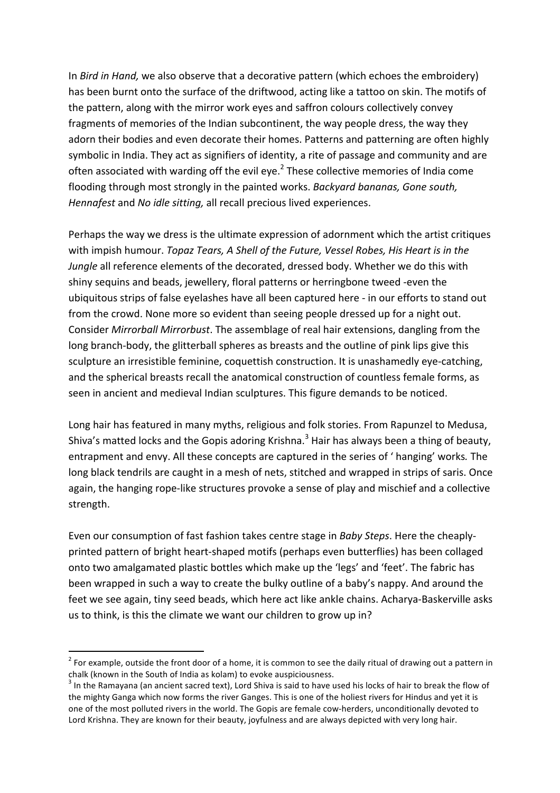In *Bird in Hand*, we also observe that a decorative pattern (which echoes the embroidery) has been burnt onto the surface of the driftwood, acting like a tattoo on skin. The motifs of the pattern, along with the mirror work eyes and saffron colours collectively convey fragments of memories of the Indian subcontinent, the way people dress, the way they adorn their bodies and even decorate their homes. Patterns and patterning are often highly symbolic in India. They act as signifiers of identity, a rite of passage and community and are often associated with warding off the evil eye.<sup>2</sup> These collective memories of India come flooding through most strongly in the painted works. *Backyard bananas, Gone south, Hennafest* and *No idle sitting*, all recall precious lived experiences.

Perhaps the way we dress is the ultimate expression of adornment which the artist critiques with impish humour. *Topaz Tears, A Shell of the Future, Vessel Robes, His Heart is in the Jungle* all reference elements of the decorated, dressed body. Whether we do this with shiny sequins and beads, jewellery, floral patterns or herringbone tweed -even the ubiquitous strips of false eyelashes have all been captured here - in our efforts to stand out from the crowd. None more so evident than seeing people dressed up for a night out. Consider *Mirrorball Mirrorbust*. The assemblage of real hair extensions, dangling from the long branch-body, the glitterball spheres as breasts and the outline of pink lips give this sculpture an irresistible feminine, coquettish construction. It is unashamedly eye-catching, and the spherical breasts recall the anatomical construction of countless female forms, as seen in ancient and medieval Indian sculptures. This figure demands to be noticed.

Long hair has featured in many myths, religious and folk stories. From Rapunzel to Medusa, Shiva's matted locks and the Gopis adoring Krishna.<sup>3</sup> Hair has always been a thing of beauty, entrapment and envy. All these concepts are captured in the series of 'hanging' works. The long black tendrils are caught in a mesh of nets, stitched and wrapped in strips of saris. Once again, the hanging rope-like structures provoke a sense of play and mischief and a collective strength. 

Even our consumption of fast fashion takes centre stage in *Baby Steps*. Here the cheaplyprinted pattern of bright heart-shaped motifs (perhaps even butterflies) has been collaged onto two amalgamated plastic bottles which make up the 'legs' and 'feet'. The fabric has been wrapped in such a way to create the bulky outline of a baby's nappy. And around the feet we see again, tiny seed beads, which here act like ankle chains. Acharya-Baskerville asks us to think, is this the climate we want our children to grow up in?

 $2$  For example, outside the front door of a home, it is common to see the daily ritual of drawing out a pattern in chalk (known in the South of India as kolam) to evoke auspiciousness.

 $3$  In the Ramayana (an ancient sacred text), Lord Shiva is said to have used his locks of hair to break the flow of the mighty Ganga which now forms the river Ganges. This is one of the holiest rivers for Hindus and yet it is one of the most polluted rivers in the world. The Gopis are female cow-herders, unconditionally devoted to Lord Krishna. They are known for their beauty, joyfulness and are always depicted with very long hair.